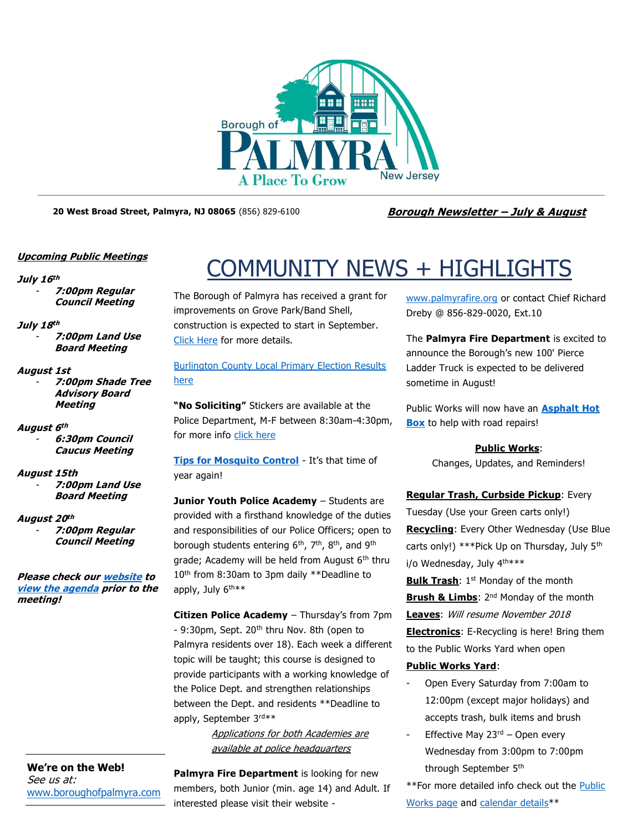

**20 West Broad Street, Palmyra, NJ 08065** (856) 829-6100 **Borough Newsletter – July & August**

#### **Upcoming Public Meetings**

#### **July 16 th**

- **7:00pm Regular Council Meeting**

#### **July 18 th**

- **7:00pm Land Use Board Meeting**

#### **August 1st**

- **7:00pm Shade Tree Advisory Board Meeting**

#### **August 6 th**

- **6:30pm Council Caucus Meeting**

#### **August 15th**

- **7:00pm Land Use Board Meeting**

#### **August 20 th**

- **7:00pm Regular Council Meeting**

**Please check ou[r website](http://boroughofpalmyra.com/minutes-agendas) to [view the agenda](http://boroughofpalmyra.com/minutes-agendas) prior to the meeting!**

**We're on the Web!** See us at: [www.boroughofpalmyra.com](file:///C:/Users/ballmond/AppData/Roaming/Microsoft/Word/www.boroughofpalmyra.com)

# COMMUNITY NEWS + HIGHLIGHTS

The Borough of Palmyra has received a grant for improvements on Grove Park/Band Shell, construction is expected to start in September. [Click Here](http://boroughofpalmyra.com/we-hit-it-out-of-the-park-again) for more details.

#### [Burlington County Local Primary Election Results](http://www.co.burlington.nj.us/DocumentCenter/View/3554/Primary-Election-Summary)  [here](http://www.co.burlington.nj.us/DocumentCenter/View/3554/Primary-Election-Summary)

**"No Soliciting"** Stickers are available at the Police Department, M-F between 8:30am-4:30pm, for more info [click here](http://boroughofpalmyra.com/no-soliciting-stickers-now-available)

**[Tips for Mosquito Control](http://boroughofpalmyra.com/wp-content/uploads/2018/06/Tips-for-mosquito-control.pdf)** - It's that time of year again!

**Junior Youth Police Academy** - Students are provided with a firsthand knowledge of the duties and responsibilities of our Police Officers; open to borough students entering 6<sup>th</sup>, 7<sup>th</sup>, 8<sup>th</sup>, and 9<sup>th</sup> grade; Academy will be held from August 6<sup>th</sup> thru 10<sup>th</sup> from 8:30am to 3pm daily \*\*Deadline to apply, July 6<sup>th\*\*</sup>

**Citizen Police Academy** – Thursday's from 7pm - 9:30pm, Sept. 20<sup>th</sup> thru Nov. 8th (open to Palmyra residents over 18). Each week a different topic will be taught; this course is designed to provide participants with a working knowledge of the Police Dept. and strengthen relationships between the Dept. and residents \*\*Deadline to apply, September 3rd\*\*

> Applications for both Academies are available at police headquarters

**Palmyra Fire Department** is looking for new members, both Junior (min. age 14) and Adult. If interested please visit their website -

[www.palmyrafire.org](http://www.palmyrafire.org/) or contact Chief Richard Dreby @ 856-829-0020, Ext.10

The **Palmyra Fire Department** is excited to announce the Borough's new 100' Pierce Ladder Truck is expected to be delivered sometime in August!

Public Works will now have an **[Asphalt Hot](http://boroughofpalmyra.com/hot-topic-potholes)  [Box](http://boroughofpalmyra.com/hot-topic-potholes)** to help with road repairs!

#### **Public Works**:

Changes, Updates, and Reminders!

### **Regular Trash, Curbside Pickup**: Every Tuesday (Use your Green carts only!) **Recycling**: Every Other Wednesday (Use Blue carts only!) \*\*\*Pick Up on Thursday, July 5<sup>th</sup> i/o Wednesday, July 4th\*\*\*

**Bulk Trash**: 1<sup>st</sup> Monday of the month **Brush & Limbs:** 2<sup>nd</sup> Monday of the month **Leaves**: Will resume November 2018 **Electronics**: E-Recycling is here! Bring them to the Public Works Yard when open

#### **Public Works Yard**:

- Open Every Saturday from 7:00am to 12:00pm (except major holidays) and accepts trash, bulk items and brush
- Effective May  $23<sup>rd</sup>$  Open every Wednesday from 3:00pm to 7:00pm through September 5th

\*\*For more detailed info check out the Public [Works page](http://boroughofpalmyra.com/departments/public-works-and-sewer) and [calendar details\\*](https://calendar.google.com/calendar/embed?src=9874escatkkqpovui1upb97hv4@group.calendar.google.com&ctz=America/New_York)\*